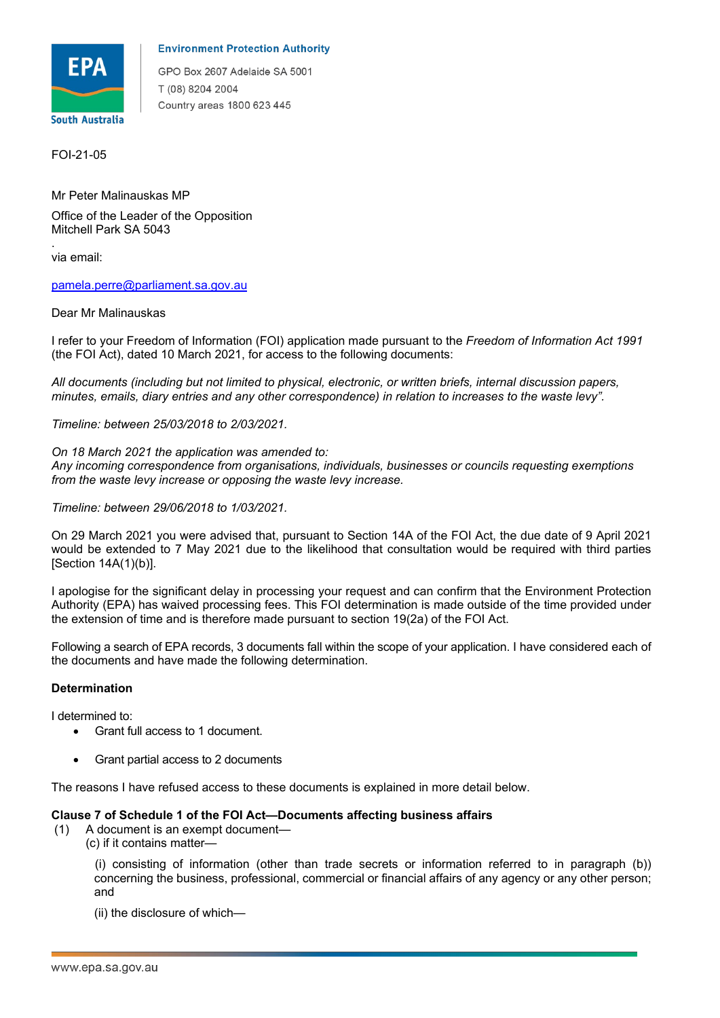

### **Environment Protection Authority**

GPO Box 2607 Adelaide SA 5001 T (08) 8204 2004 Country areas 1800 623 445

FOI-21-05

 Mr Peter Malinauskas MP Office of the Leader of the Opposition Mitchell Park SA 5043

 via email: .

pamela.perre@parliament.sa.gov.au

### Dear Mr Malinauskas

 I refer to your Freedom of Information (FOI) application made pursuant to the *Freedom of Information Act 1991*  (the FOI Act), dated 10 March 2021, for access to the following documents:

 *All documents (including but not limited to physical, electronic, or written briefs, internal discussion papers, minutes, emails, diary entries and any other correspondence) in relation to increases to the waste levy".* 

*Timeline: between 25/03/2018 to 2/03/2021.* 

### *On 18 March 2021 the application was amended to:*

 *Any incoming correspondence from organisations, individuals, businesses or councils requesting exemptions from the waste levy increase or opposing the waste levy increase.* 

#### *Timeline: between 29/06/2018 to 1/03/2021.*

 On 29 March 2021 you were advised that, pursuant to Section 14A of the FOI Act, the due date of 9 April 2021 [Section  $14A(1)(b)$ ]. would be extended to 7 May 2021 due to the likelihood that consultation would be required with third parties

[Section 14A(1)(b)].<br>I apologise for the significant delay in processing your request and can confirm that the Environment Protection Authority (EPA) has waived processing fees. This FOI determination is made outside of the time provided under the extension of time and is therefore made pursuant to section 19(2a) of the FOI Act.

 Following a search of EPA records, 3 documents fall within the scope of your application. I have considered each of the documents and have made the following determination.

## **Determination**

I determined to:

- Grant full access to 1 document.
- Grant partial access to 2 documents

The reasons I have refused access to these documents is explained in more detail below.

## **Clause 7 of Schedule 1 of the FOI Act—Documents affecting business affairs**

- (1) A document is an exempt document—
	- (c) if it contains matter—

 concerning the business, professional, commercial or financial affairs of any agency or any other person; (i) consisting of information (other than trade secrets or information referred to in paragraph (b)) and

(ii) the disclosure of which—